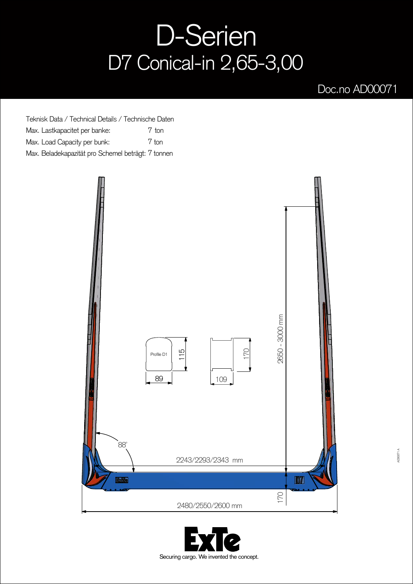## D-Serien D7 Conical-in 2,65-3,00

## Doc.no AD00071

Teknisk Data / Technical Details / Technische Daten Max. Lastkapacitet per banke: Max. Load Capacity per bunk: Max. Beladekapazität pro Schemel beträgt: 7 tonnen 7 ton 7 ton